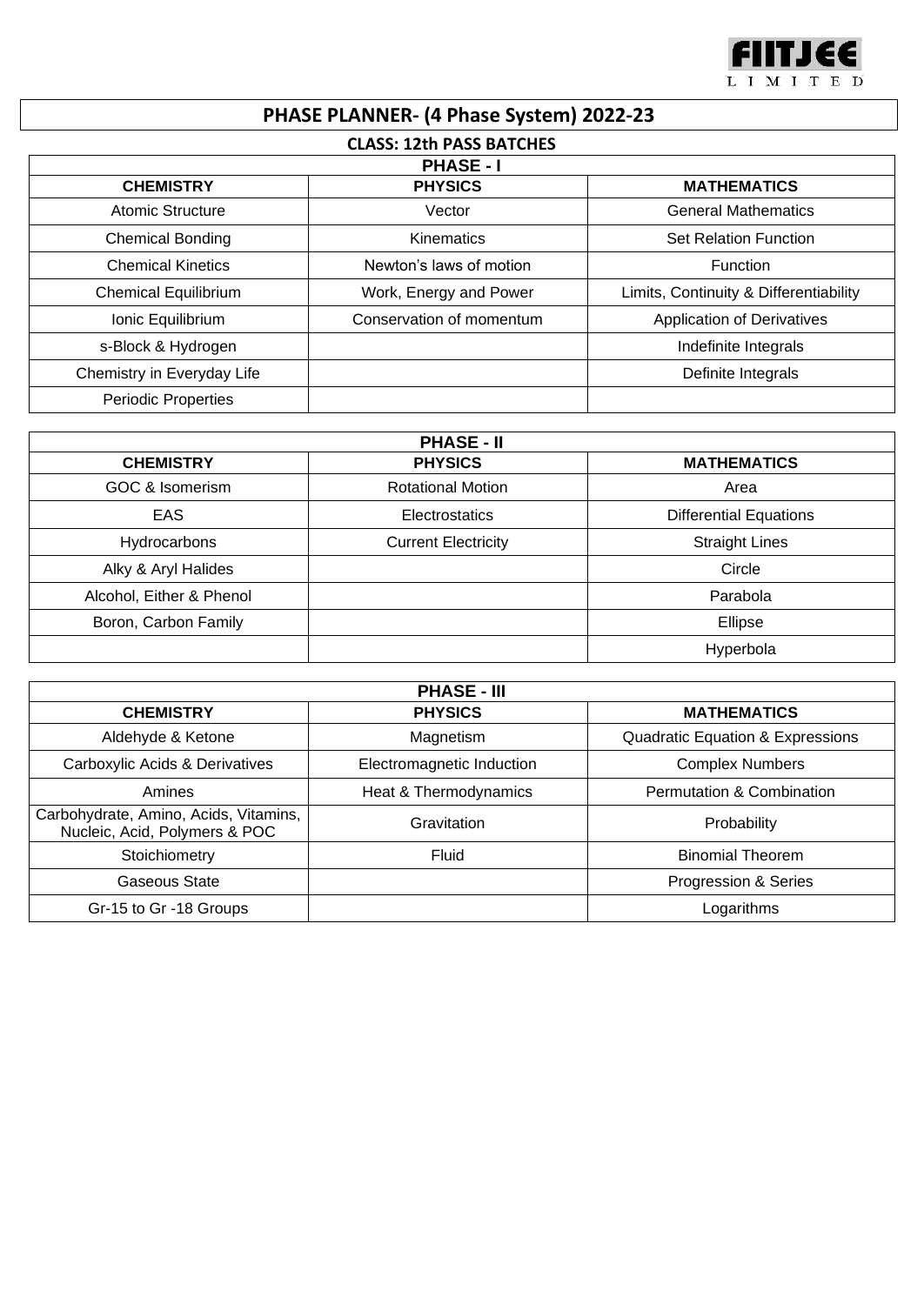

## **PHASE PLANNER- (4 Phase System) 2022-23**

| <b>CLASS: 12th PASS BATCHES</b><br><b>PHASE - I</b> |                          |                                        |  |  |
|-----------------------------------------------------|--------------------------|----------------------------------------|--|--|
|                                                     |                          |                                        |  |  |
| Atomic Structure                                    | Vector                   | <b>General Mathematics</b>             |  |  |
| <b>Chemical Bonding</b>                             | Kinematics               | <b>Set Relation Function</b>           |  |  |
| <b>Chemical Kinetics</b>                            | Newton's laws of motion  | <b>Function</b>                        |  |  |
| <b>Chemical Equilibrium</b>                         | Work, Energy and Power   | Limits, Continuity & Differentiability |  |  |
| Ionic Equilibrium                                   | Conservation of momentum | <b>Application of Derivatives</b>      |  |  |
| s-Block & Hydrogen                                  |                          | Indefinite Integrals                   |  |  |
| Chemistry in Everyday Life                          |                          | Definite Integrals                     |  |  |
| Periodic Properties                                 |                          |                                        |  |  |

| <b>PHASE - II</b>        |                            |                               |  |  |
|--------------------------|----------------------------|-------------------------------|--|--|
| <b>CHEMISTRY</b>         | <b>PHYSICS</b>             | <b>MATHEMATICS</b>            |  |  |
| GOC & Isomerism          | <b>Rotational Motion</b>   | Area                          |  |  |
| <b>EAS</b>               | Electrostatics             | <b>Differential Equations</b> |  |  |
| Hydrocarbons             | <b>Current Electricity</b> | <b>Straight Lines</b>         |  |  |
| Alky & Aryl Halides      |                            | Circle                        |  |  |
| Alcohol, Either & Phenol |                            | Parabola                      |  |  |
| Boron, Carbon Family     |                            | Ellipse                       |  |  |
|                          |                            | Hyperbola                     |  |  |

| <b>PHASE - III</b>                                                     |                           |                                             |  |  |
|------------------------------------------------------------------------|---------------------------|---------------------------------------------|--|--|
| <b>CHEMISTRY</b>                                                       | <b>PHYSICS</b>            | <b>MATHEMATICS</b>                          |  |  |
| Aldehyde & Ketone                                                      | Magnetism                 | <b>Quadratic Equation &amp; Expressions</b> |  |  |
| Carboxylic Acids & Derivatives                                         | Electromagnetic Induction | <b>Complex Numbers</b>                      |  |  |
| Amines                                                                 | Heat & Thermodynamics     | <b>Permutation &amp; Combination</b>        |  |  |
| Carbohydrate, Amino, Acids, Vitamins,<br>Nucleic, Acid, Polymers & POC | Gravitation               | Probability                                 |  |  |
| Stoichiometry                                                          | Fluid                     | <b>Binomial Theorem</b>                     |  |  |
| Gaseous State                                                          |                           | Progression & Series                        |  |  |
| Gr-15 to Gr -18 Groups                                                 |                           | Logarithms                                  |  |  |